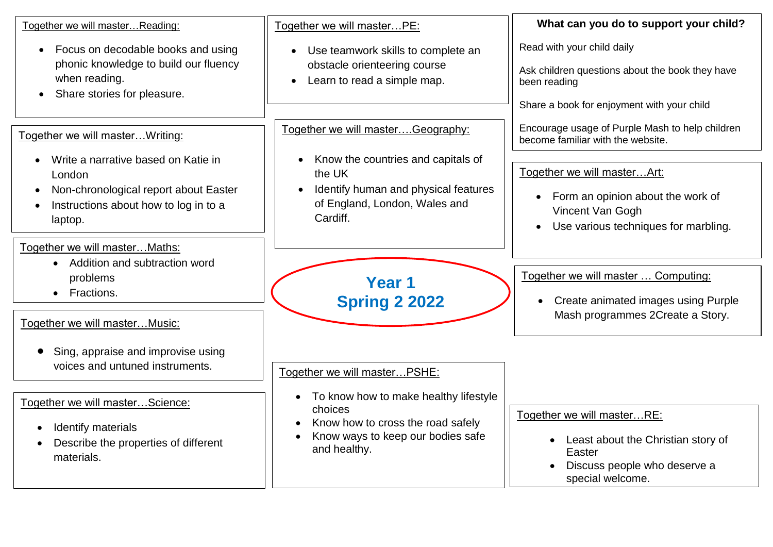| Together we will masterReading:                                                                                                                         | Together we will masterPE:                                                                                                                 | What can you do to support your child?                                                                                                                 |
|---------------------------------------------------------------------------------------------------------------------------------------------------------|--------------------------------------------------------------------------------------------------------------------------------------------|--------------------------------------------------------------------------------------------------------------------------------------------------------|
| Focus on decodable books and using<br>$\bullet$<br>phonic knowledge to build our fluency<br>when reading.<br>Share stories for pleasure.                | Use teamwork skills to complete an<br>$\bullet$<br>obstacle orienteering course<br>Learn to read a simple map.<br>$\bullet$                | Read with your child daily<br>Ask children questions about the book they have<br>been reading<br>Share a book for enjoyment with your child            |
| Together we will master Writing:                                                                                                                        | Together we will masterGeography:                                                                                                          | Encourage usage of Purple Mash to help children<br>become familiar with the website.                                                                   |
| Write a narrative based on Katie in<br>London<br>Non-chronological report about Easter<br>$\bullet$<br>Instructions about how to log in to a<br>laptop. | Know the countries and capitals of<br>the UK<br>Identify human and physical features<br>of England, London, Wales and<br>Cardiff.          | Together we will masterArt:<br>Form an opinion about the work of<br>$\bullet$<br>Vincent Van Gogh<br>Use various techniques for marbling.<br>$\bullet$ |
| Together we will master Maths:<br>• Addition and subtraction word<br>problems<br>Fractions.<br>$\bullet$<br>Together we will masterMusic:               | Year 1<br><b>Spring 2 2022</b>                                                                                                             | Together we will master  Computing:<br>Create animated images using Purple<br>Mash programmes 2Create a Story.                                         |
| Sing, appraise and improvise using<br>voices and untuned instruments.                                                                                   | Together we will masterPSHE:                                                                                                               |                                                                                                                                                        |
| Together we will masterScience:<br>Identify materials<br>Describe the properties of different<br>materials.                                             | To know how to make healthy lifestyle<br>choices<br>Know how to cross the road safely<br>Know ways to keep our bodies safe<br>and healthy. | Together we will masterRE:<br>Least about the Christian story of<br>Easter<br>Discuss people who deserve a<br>special welcome.                         |